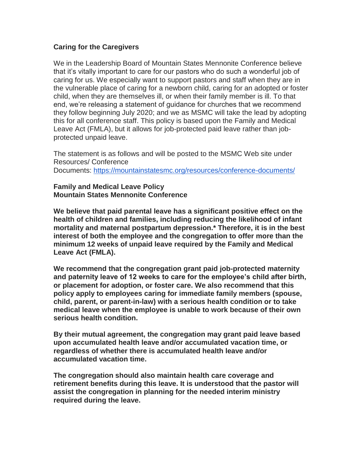## **Caring for the Caregivers**

We in the Leadership Board of Mountain States Mennonite Conference believe that it's vitally important to care for our pastors who do such a wonderful job of caring for us. We especially want to support pastors and staff when they are in the vulnerable place of caring for a newborn child, caring for an adopted or foster child, when they are themselves ill, or when their family member is ill. To that end, we're releasing a statement of guidance for churches that we recommend they follow beginning July 2020; and we as MSMC will take the lead by adopting this for all conference staff. This policy is based upon the Family and Medical Leave Act (FMLA), but it allows for job-protected paid leave rather than jobprotected unpaid leave.

The statement is as follows and will be posted to the MSMC Web site under Resources/ Conference Documents: <https://mountainstatesmc.org/resources/conference-documents/>

**Family and Medical Leave Policy Mountain States Mennonite Conference**

**We believe that paid parental leave has a significant positive effect on the health of children and families, including reducing the likelihood of infant mortality and maternal postpartum depression.\* Therefore, it is in the best interest of both the employee and the congregation to offer more than the minimum 12 weeks of unpaid leave required by the Family and Medical Leave Act (FMLA).**

**We recommend that the congregation grant paid job-protected maternity and paternity leave of 12 weeks to care for the employee's child after birth, or placement for adoption, or foster care. We also recommend that this policy apply to employees caring for immediate family members (spouse, child, parent, or parent-in-law) with a serious health condition or to take medical leave when the employee is unable to work because of their own serious health condition.**

**By their mutual agreement, the congregation may grant paid leave based upon accumulated health leave and/or accumulated vacation time, or regardless of whether there is accumulated health leave and/or accumulated vacation time.**

**The congregation should also maintain health care coverage and retirement benefits during this leave. It is understood that the pastor will assist the congregation in planning for the needed interim ministry required during the leave.**